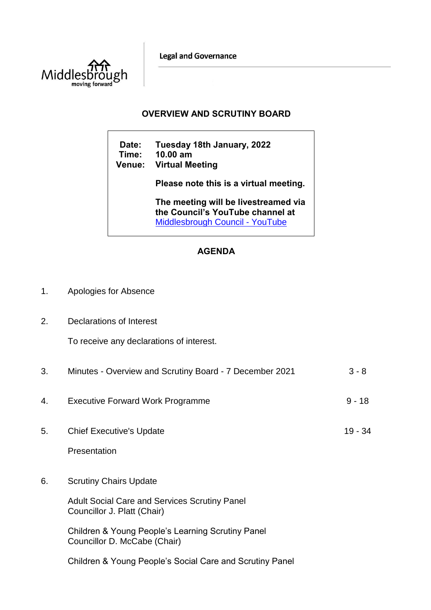**Legal and Governance** 



## **OVERVIEW AND SCRUTINY BOARD**

**Date: Tuesday 18th January, 2022 Time: 10.00 am Venue: Virtual Meeting Please note this is a virtual meeting. The meeting will be livestreamed via the Council's YouTube channel at**  [Middlesbrough Council -](https://www.youtube.com/user/middlesbroughcouncil) YouTube

## **AGENDA**

| 1. | Apologies for Absence |
|----|-----------------------|
|----|-----------------------|

2. Declarations of Interest

To receive any declarations of interest.

| 3. | Minutes - Overview and Scrutiny Board - 7 December 2021                                                                                                                                                   | $3 - 8$  |
|----|-----------------------------------------------------------------------------------------------------------------------------------------------------------------------------------------------------------|----------|
| 4. | <b>Executive Forward Work Programme</b>                                                                                                                                                                   | $9 - 18$ |
| 5. | <b>Chief Executive's Update</b><br>Presentation                                                                                                                                                           | 19 - 34  |
| 6. | <b>Scrutiny Chairs Update</b><br><b>Adult Social Care and Services Scrutiny Panel</b><br>Councillor J. Platt (Chair)<br>Children & Young People's Learning Scrutiny Panel<br>Councillor D. McCabe (Chair) |          |
|    | Children & Young People's Social Care and Scrutiny Panel                                                                                                                                                  |          |